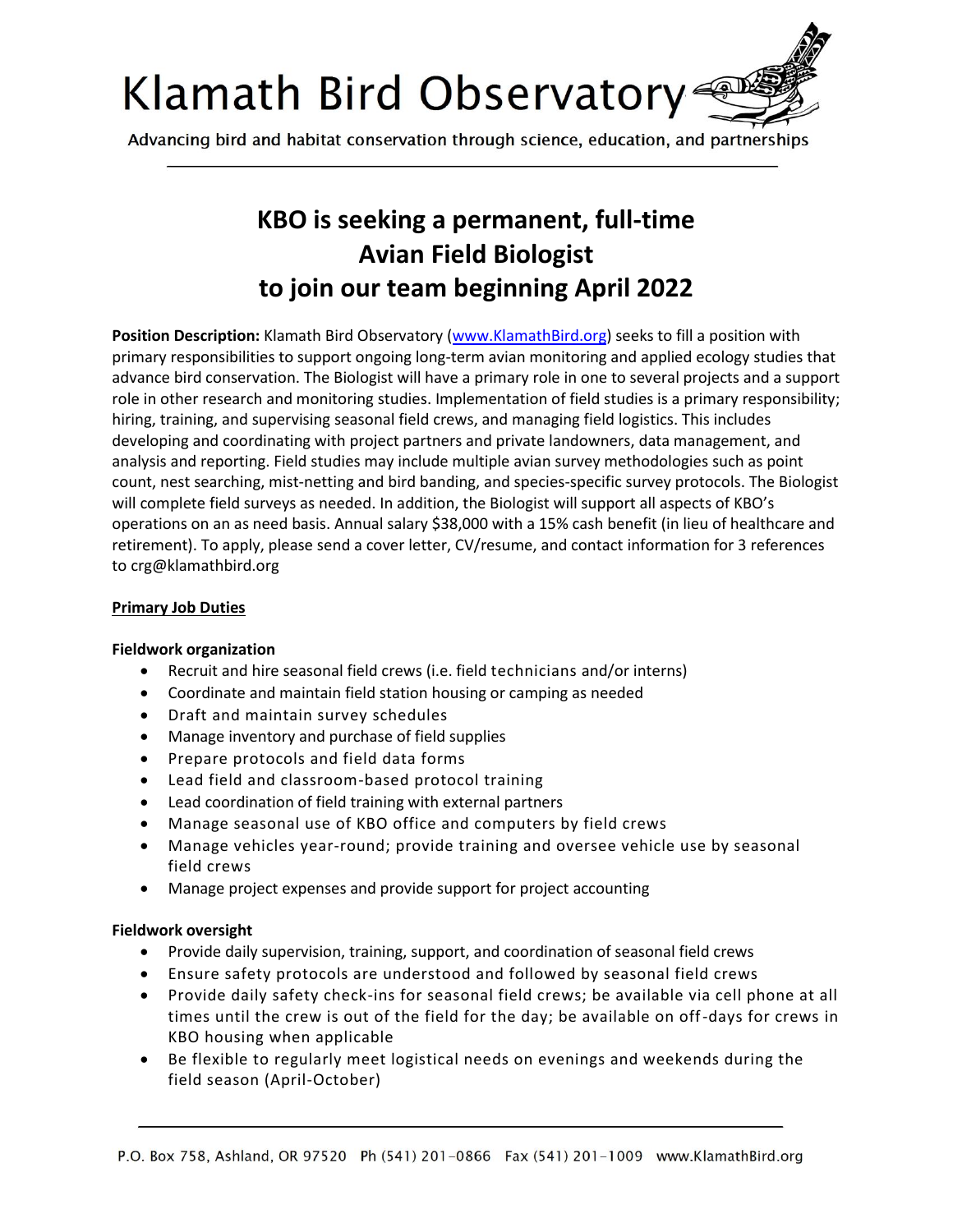

Advancing bird and habitat conservation through science, education, and partnerships

# **KBO is seeking a permanent, full-time Avian Field Biologist to join our team beginning April 2022**

**Position Description:** Klamath Bird Observatory (www.KlamathBird.org) seeks to fill a position with primary responsibilities to support ongoing long-term avian monitoring and applied ecology studies that advance bird conservation. The Biologist will have a primary role in one to several projects and a support role in other research and monitoring studies. Implementation of field studies is a primary responsibility; hiring, training, and supervising seasonal field crews, and managing field logistics. This includes developing and coordinating with project partners and private landowners, data management, and analysis and reporting. Field studies may include multiple avian survey methodologies such as point count, nest searching, mist-netting and bird banding, and species-specific survey protocols. The Biologist will complete field surveys as needed. In addition, the Biologist will support all aspects of KBO's operations on an as need basis. Annual salary \$38,000 with a 15% cash benefit (in lieu of healthcare and retirement). To apply, please send a cover letter, CV/resume, and contact information for 3 references to crg@klamathbird.org

### **Primary Job Duties**

#### **Fieldwork organization**

- Recruit and hire seasonal field crews (i.e. field technicians and/or interns)
- Coordinate and maintain field station housing or camping as needed
- Draft and maintain survey schedules
- Manage inventory and purchase of field supplies
- Prepare protocols and field data forms
- Lead field and classroom-based protocol training
- Lead coordination of field training with external partners
- Manage seasonal use of KBO office and computers by field crews
- Manage vehicles year-round; provide training and oversee vehicle use by seasonal field crews
- Manage project expenses and provide support for project accounting

#### **Fieldwork oversight**

- Provide daily supervision, training, support, and coordination of seasonal field crews
- Ensure safety protocols are understood and followed by seasonal field crews
- Provide daily safety check-ins for seasonal field crews; be available via cell phone at all times until the crew is out of the field for the day; be available on off-days for crews in KBO housing when applicable
- Be flexible to regularly meet logistical needs on evenings and weekends during the field season (April-October)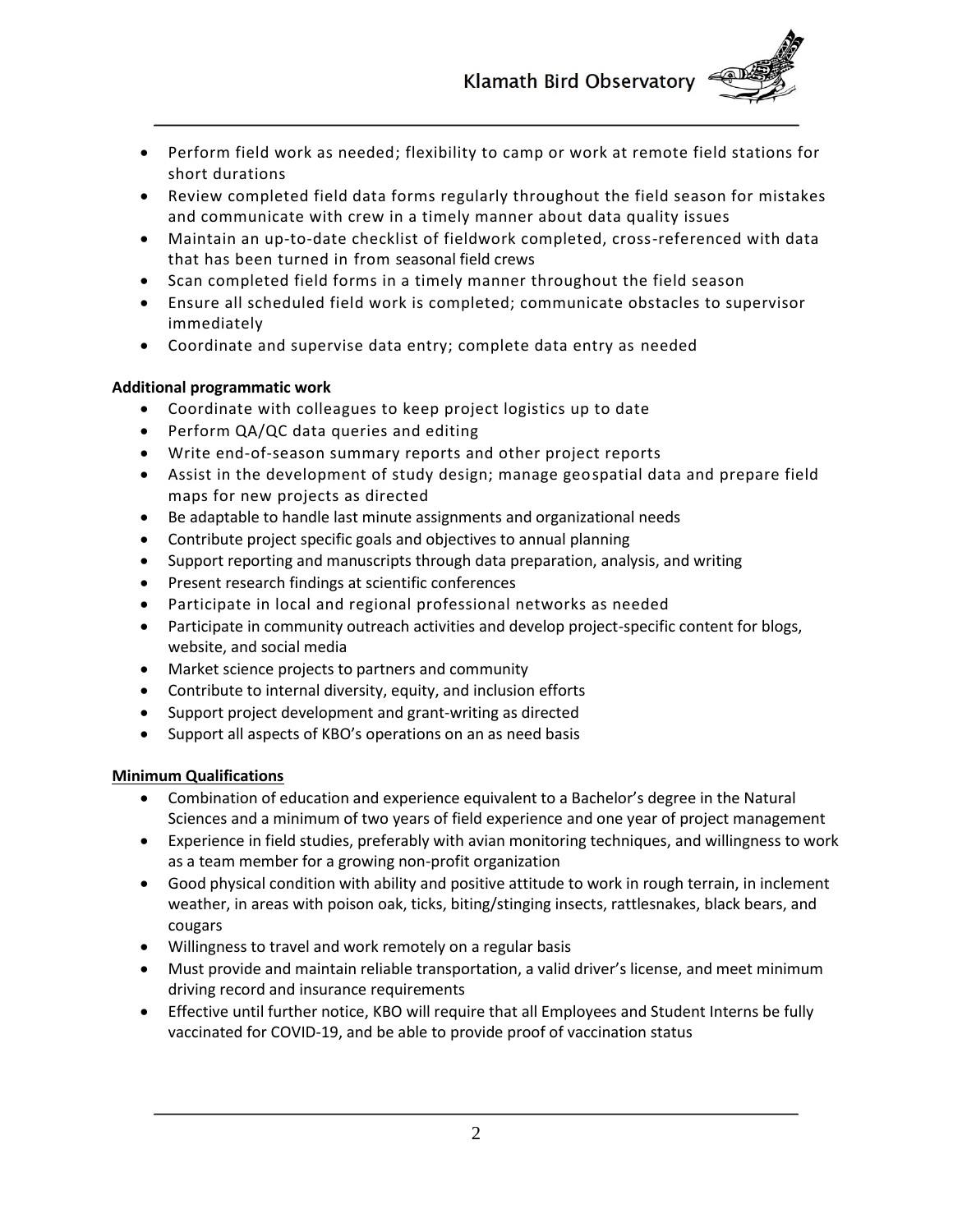

- Perform field work as needed; flexibility to camp or work at remote field stations for short durations
- Review completed field data forms regularly throughout the field season for mistakes and communicate with crew in a timely manner about data quality issues
- Maintain an up-to-date checklist of fieldwork completed, cross-referenced with data that has been turned in from seasonal field crews
- Scan completed field forms in a timely manner throughout the field season
- Ensure all scheduled field work is completed; communicate obstacles to supervisor immediately
- Coordinate and supervise data entry; complete data entry as needed

# **Additional programmatic work**

- Coordinate with colleagues to keep project logistics up to date
- Perform QA/QC data queries and editing
- Write end-of-season summary reports and other project reports
- Assist in the development of study design; manage geospatial data and prepare field maps for new projects as directed
- Be adaptable to handle last minute assignments and organizational needs
- Contribute project specific goals and objectives to annual planning
- Support reporting and manuscripts through data preparation, analysis, and writing
- Present research findings at scientific conferences
- Participate in local and regional professional networks as needed
- Participate in community outreach activities and develop project-specific content for blogs, website, and social media
- Market science projects to partners and community
- Contribute to internal diversity, equity, and inclusion efforts
- Support project development and grant-writing as directed
- Support all aspects of KBO's operations on an as need basis

# **Minimum Qualifications**

- Combination of education and experience equivalent to a Bachelor's degree in the Natural Sciences and a minimum of two years of field experience and one year of project management
- Experience in field studies, preferably with avian monitoring techniques, and willingness to work as a team member for a growing non-profit organization
- Good physical condition with ability and positive attitude to work in rough terrain, in inclement weather, in areas with poison oak, ticks, biting/stinging insects, rattlesnakes, black bears, and cougars
- Willingness to travel and work remotely on a regular basis
- Must provide and maintain reliable transportation, a valid driver's license, and meet minimum driving record and insurance requirements
- Effective until further notice, KBO will require that all Employees and Student Interns be fully vaccinated for COVID‐19, and be able to provide proof of vaccination status